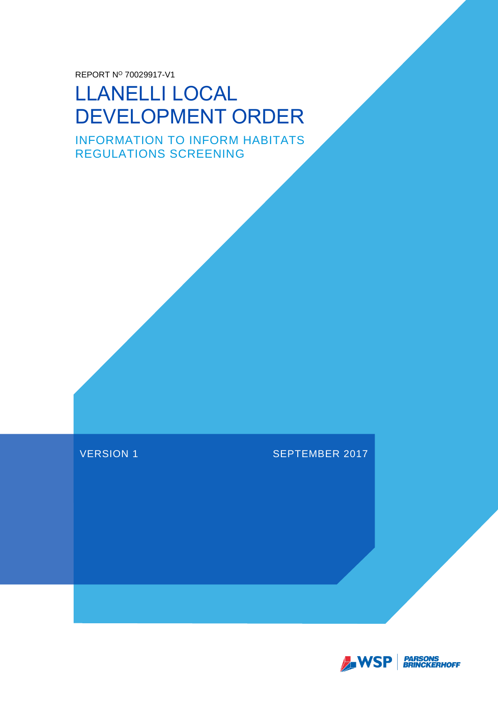REPORT N<sup>O</sup> 70029917-V1

## LLANELLI LOCAL DEVELOPMENT ORDER

INFORMATION TO INFORM HABITATS REGULATIONS SCREENING

#### VERSION 1 SEPTEMBER 2017

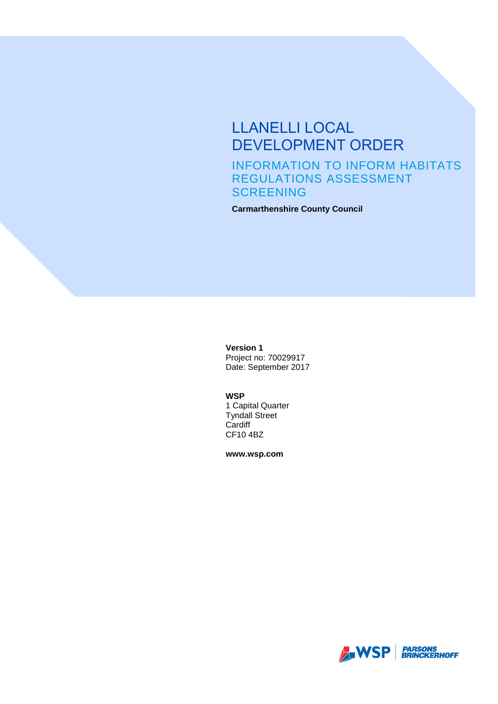### LLANELLI LOCAL DEVELOPMENT ORDER

INFORMATION TO INFORM HABITATS REGULATIONS ASSESSMENT **SCREENING** 

**Carmarthenshire County Council**

#### **Version 1**

Project no: 70029917 Date: September 2017

#### **WSP**

1 Capital Quarter Tyndall Street **Cardiff** CF10 4BZ

**www.wsp.com**

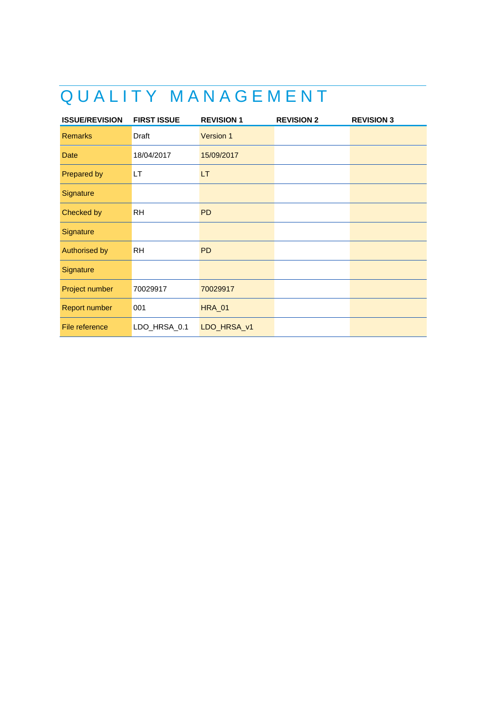### QUALITY MANAGEMENT

| <b>ISSUE/REVISION</b> | <b>FIRST ISSUE</b> | <b>REVISION 1</b> | <b>REVISION 2</b> | <b>REVISION 3</b> |
|-----------------------|--------------------|-------------------|-------------------|-------------------|
| <b>Remarks</b>        | Draft              | Version 1         |                   |                   |
| <b>Date</b>           | 18/04/2017         | 15/09/2017        |                   |                   |
| <b>Prepared by</b>    | LT                 | LT                |                   |                   |
| Signature             |                    |                   |                   |                   |
| Checked by            | <b>RH</b>          | <b>PD</b>         |                   |                   |
| Signature             |                    |                   |                   |                   |
| <b>Authorised by</b>  | <b>RH</b>          | <b>PD</b>         |                   |                   |
| Signature             |                    |                   |                   |                   |
| Project number        | 70029917           | 70029917          |                   |                   |
| <b>Report number</b>  | 001                | <b>HRA_01</b>     |                   |                   |
| File reference        | LDO_HRSA_0.1       | LDO_HRSA_v1       |                   |                   |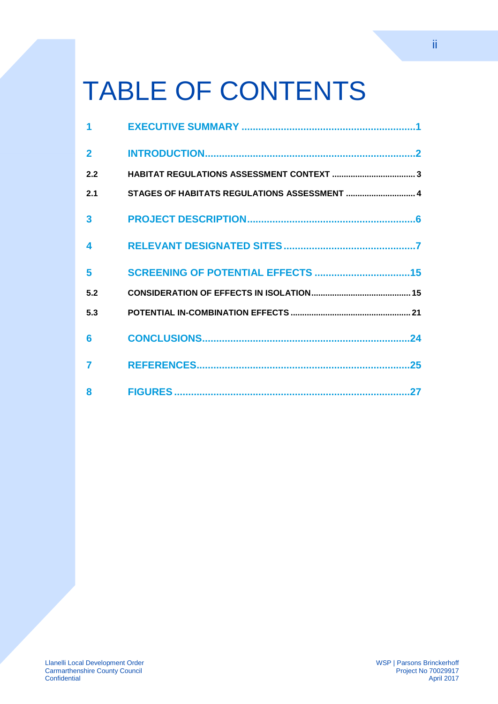## TABLE OF CONTENTS

| 1                       |                                              |
|-------------------------|----------------------------------------------|
| $\mathbf{2}$            |                                              |
| 2.2                     |                                              |
| 2.1                     | STAGES OF HABITATS REGULATIONS ASSESSMENT  4 |
| $\overline{\mathbf{3}}$ |                                              |
| 4                       |                                              |
| 5                       |                                              |
| 5.2                     |                                              |
| 5.3                     |                                              |
| 6                       |                                              |
| 7                       |                                              |
| 8                       |                                              |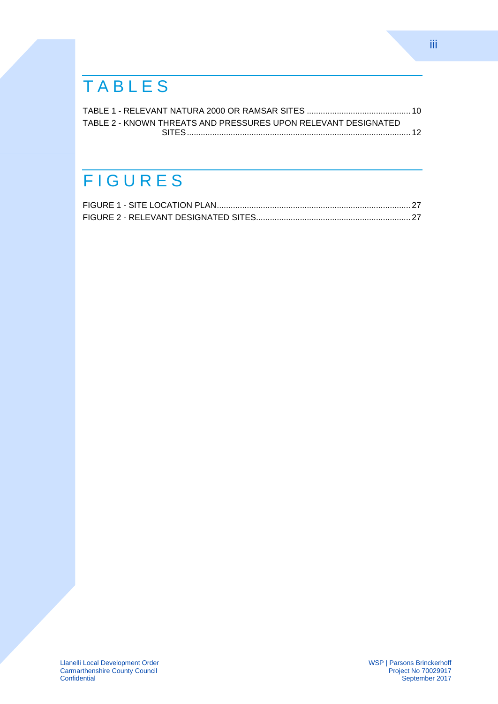## **TABLES**

| TABLE 2 - KNOWN THREATS AND PRESSURES UPON RELEVANT DESIGNATED |  |
|----------------------------------------------------------------|--|
|                                                                |  |

### **FIGURES**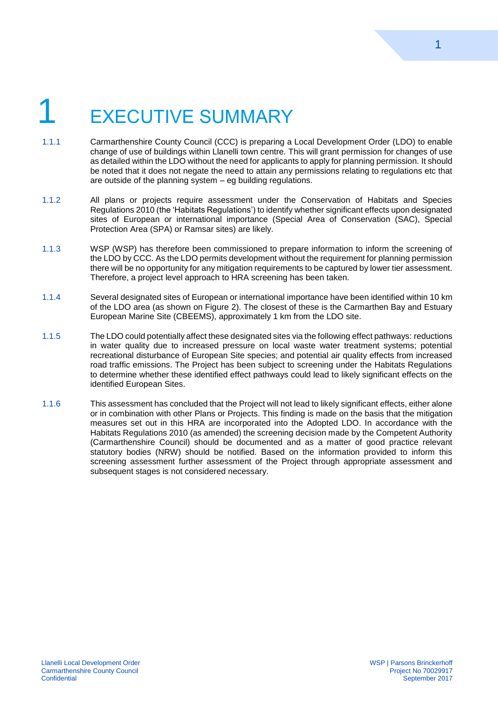# <span id="page-5-0"></span>**EXECUTIVE SUMMARY**

- 1.1.1 Carmarthenshire County Council (CCC) is preparing a Local Development Order (LDO) to enable change of use of buildings within Llanelli town centre. This will grant permission for changes of use as detailed within the LDO without the need for applicants to apply for planning permission. It should be noted that it does not negate the need to attain any permissions relating to regulations etc that are outside of the planning system – eg building regulations.
- 1.1.2 All plans or projects require assessment under the Conservation of Habitats and Species Regulations 2010 (the 'Habitats Regulations') to identify whether significant effects upon designated sites of European or international importance (Special Area of Conservation (SAC), Special Protection Area (SPA) or Ramsar sites) are likely.
- 1.1.3 WSP (WSP) has therefore been commissioned to prepare information to inform the screening of the LDO by CCC. As the LDO permits development without the requirement for planning permission there will be no opportunity for any mitigation requirements to be captured by lower tier assessment. Therefore, a project level approach to HRA screening has been taken.
- 1.1.4 Several designated sites of European or international importance have been identified within 10 km of the LDO area (as shown on Figure 2). The closest of these is the Carmarthen Bay and Estuary European Marine Site (CBEEMS), approximately 1 km from the LDO site.
- 1.1.5 The LDO could potentially affect these designated sites via the following effect pathways: reductions in water quality due to increased pressure on local waste water treatment systems; potential recreational disturbance of European Site species; and potential air quality effects from increased road traffic emissions. The Project has been subject to screening under the Habitats Regulations to determine whether these identified effect pathways could lead to likely significant effects on the identified European Sites.
- 1.1.6 This assessment has concluded that the Project will not lead to likely significant effects, either alone or in combination with other Plans or Projects. This finding is made on the basis that the mitigation measures set out in this HRA are incorporated into the Adopted LDO. In accordance with the Habitats Regulations 2010 (as amended) the screening decision made by the Competent Authority (Carmarthenshire Council) should be documented and as a matter of good practice relevant statutory bodies (NRW) should be notified. Based on the information provided to inform this screening assessment further assessment of the Project through appropriate assessment and subsequent stages is not considered necessary.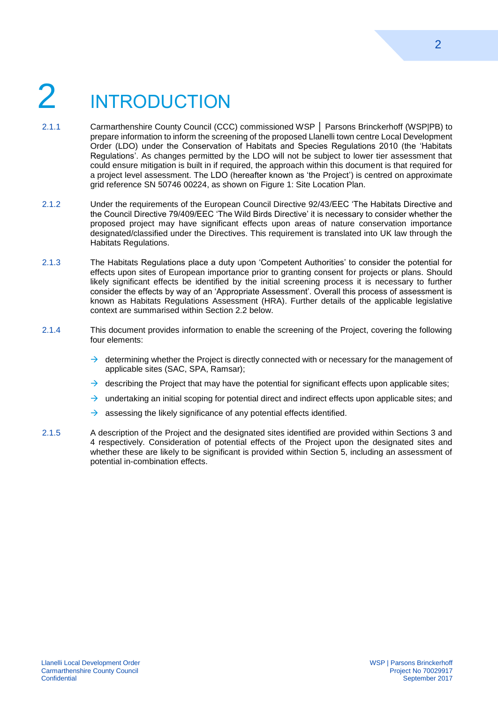## <span id="page-6-0"></span>**INTRODUCTION**

- 2.1.1 Carmarthenshire County Council (CCC) commissioned WSP | Parsons Brinckerhoff (WSP|PB) to prepare information to inform the screening of the proposed Llanelli town centre Local Development Order (LDO) under the Conservation of Habitats and Species Regulations 2010 (the 'Habitats Regulations'. As changes permitted by the LDO will not be subject to lower tier assessment that could ensure mitigation is built in if required, the approach within this document is that required for a project level assessment. The LDO (hereafter known as 'the Project') is centred on approximate grid reference SN 50746 00224, as shown on Figure 1: Site Location Plan.
- 2.1.2 Under the requirements of the European Council Directive 92/43/EEC 'The Habitats Directive and the Council Directive 79/409/EEC 'The Wild Birds Directive' it is necessary to consider whether the proposed project may have significant effects upon areas of nature conservation importance designated/classified under the Directives. This requirement is translated into UK law through the Habitats Regulations.
- 2.1.3 The Habitats Regulations place a duty upon 'Competent Authorities' to consider the potential for effects upon sites of European importance prior to granting consent for projects or plans. Should likely significant effects be identified by the initial screening process it is necessary to further consider the effects by way of an 'Appropriate Assessment'. Overall this process of assessment is known as Habitats Regulations Assessment (HRA). Further details of the applicable legislative context are summarised within Section 2.2 below.
- 2.1.4 This document provides information to enable the screening of the Project, covering the following four elements:
	- $\rightarrow$  determining whether the Project is directly connected with or necessary for the management of applicable sites (SAC, SPA, Ramsar);
	- $\rightarrow$  describing the Project that may have the potential for significant effects upon applicable sites;
	- $\rightarrow$  undertaking an initial scoping for potential direct and indirect effects upon applicable sites; and
	- $\rightarrow$  assessing the likely significance of any potential effects identified.
- 2.1.5 A description of the Project and the designated sites identified are provided within Sections 3 and 4 respectively. Consideration of potential effects of the Project upon the designated sites and whether these are likely to be significant is provided within Section 5, including an assessment of potential in-combination effects.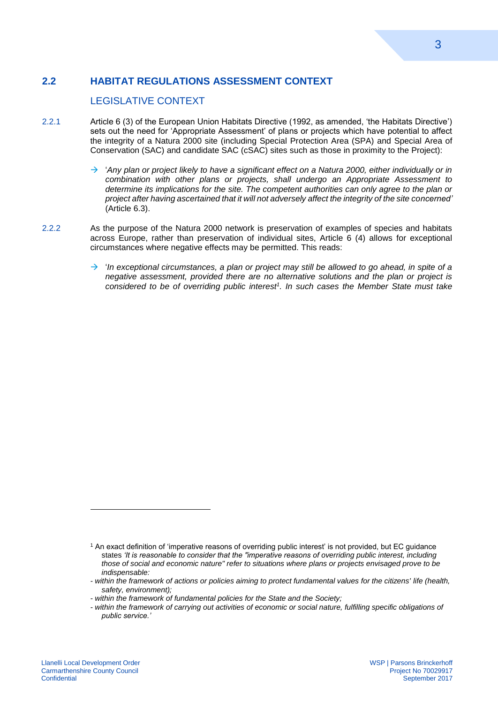#### **2.2 HABITAT REGULATIONS ASSESSMENT CONTEXT**

#### <span id="page-7-0"></span>LEGISLATIVE CONTEXT

- 2.2.1 Article 6 (3) of the European Union Habitats Directive (1992, as amended, 'the Habitats Directive') sets out the need for 'Appropriate Assessment' of plans or projects which have potential to affect the integrity of a Natura 2000 site (including Special Protection Area (SPA) and Special Area of Conservation (SAC) and candidate SAC (cSAC) sites such as those in proximity to the Project):
	- '*Any plan or project likely to have a significant effect on a Natura 2000, either individually or in combination with other plans or projects, shall undergo an Appropriate Assessment to determine its implications for the site. The competent authorities can only agree to the plan or project after having ascertained that it will not adversely affect the integrity of the site concerned'* (Article 6.3).
- 2.2.2 As the purpose of the Natura 2000 network is preservation of examples of species and habitats across Europe, rather than preservation of individual sites, Article 6 (4) allows for exceptional circumstances where negative effects may be permitted. This reads:
	- $\rightarrow$  'In exceptional circumstances, a plan or project may still be allowed to go ahead, in spite of a *negative assessment, provided there are no alternative solutions and the plan or project is considered to be of overriding public interest<sup>1</sup> . In such cases the Member State must take*

*- within the framework of fundamental policies for the State and the Society;*

1

<sup>1</sup> An exact definition of 'imperative reasons of overriding public interest' is not provided, but EC guidance states *'It is reasonable to consider that the "imperative reasons of overriding public interest, including those of social and economic nature" refer to situations where plans or projects envisaged prove to be indispensable:*

*<sup>-</sup> within the framework of actions or policies aiming to protect fundamental values for the citizens' life (health, safety, environment);*

*<sup>-</sup> within the framework of carrying out activities of economic or social nature, fulfilling specific obligations of public service.'*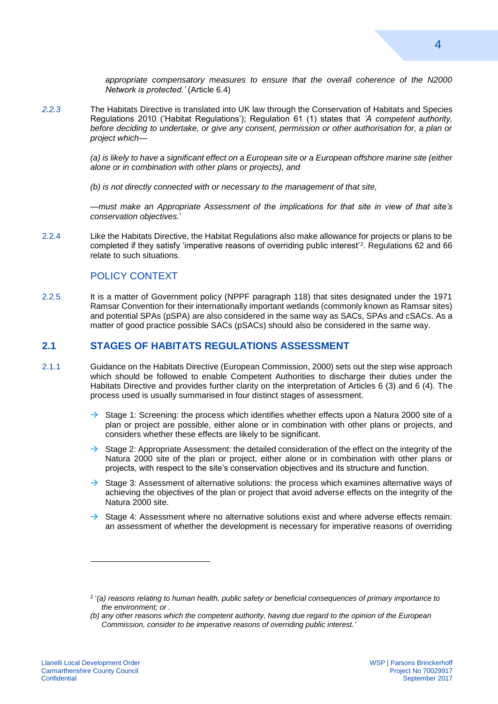appropriate compensatory measures to ensure that the overall coherence of the N2000 *Network is protected.'* (Article 6.4)

*2.2.3* The Habitats Directive is translated into UK law through the Conservation of Habitats and Species Regulations 2010 ('Habitat Regulations'); Regulation 61 (1) states that *'A competent authority, before deciding to undertake, or give any consent, permission or other authorisation for, a plan or project which—*

> *(a) is likely to have a significant effect on a European site or a European offshore marine site (either alone or in combination with other plans or projects), and*

*(b) is not directly connected with or necessary to the management of that site,* 

*—must make an Appropriate Assessment of the implications for that site in view of that site's conservation objectives.*'

2.2.4 Like the Habitats Directive, the Habitat Regulations also make allowance for projects or plans to be completed if they satisfy 'imperative reasons of overriding public interest'<sup>2</sup>. Regulations 62 and 66 relate to such situations.

#### POLICY CONTEXT

2.2.5 It is a matter of Government policy (NPPF paragraph 118) that sites designated under the 1971 Ramsar Convention for their internationally important wetlands (commonly known as Ramsar sites) and potential SPAs (pSPA) are also considered in the same way as SACs, SPAs and cSACs. As a matter of good practice possible SACs (pSACs) should also be considered in the same way.

#### <span id="page-8-0"></span>**2.1 STAGES OF HABITATS REGULATIONS ASSESSMENT**

- 2.1.1 Guidance on the Habitats Directive (European Commission, 2000) sets out the step wise approach which should be followed to enable Competent Authorities to discharge their duties under the Habitats Directive and provides further clarity on the interpretation of Articles 6 (3) and 6 (4). The process used is usually summarised in four distinct stages of assessment.
	- Stage 1: Screening: the process which identifies whether effects upon a Natura 2000 site of a plan or project are possible, either alone or in combination with other plans or projects, and considers whether these effects are likely to be significant.
	- $\rightarrow$  Stage 2: Appropriate Assessment: the detailed consideration of the effect on the integrity of the Natura 2000 site of the plan or project, either alone or in combination with other plans or projects, with respect to the site's conservation objectives and its structure and function.
	- $\rightarrow$  Stage 3: Assessment of alternative solutions: the process which examines alternative ways of achieving the objectives of the plan or project that avoid adverse effects on the integrity of the Natura 2000 site.
	- $\rightarrow$  Stage 4: Assessment where no alternative solutions exist and where adverse effects remain: an assessment of whether the development is necessary for imperative reasons of overriding

1

<sup>2</sup> '*(a) reasons relating to human health, public safety or beneficial consequences of primary importance to the environment; or .*

*<sup>(</sup>b) any other reasons which the competent authority, having due regard to the opinion of the European Commission, consider to be imperative reasons of overriding public interest.'*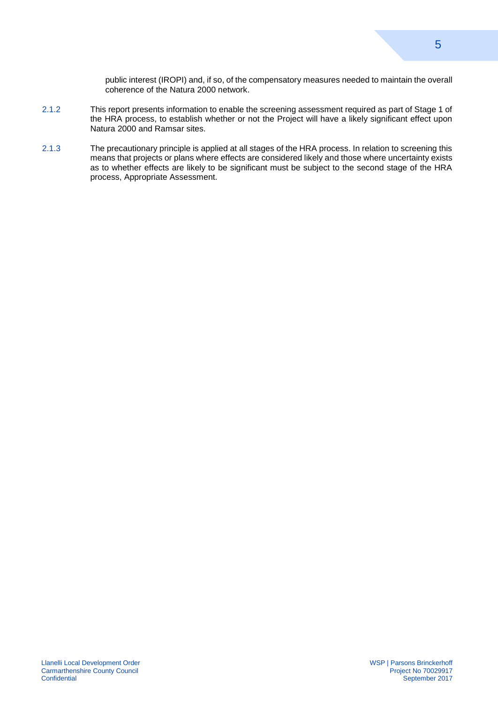public interest (IROPI) and, if so, of the compensatory measures needed to maintain the overall coherence of the Natura 2000 network.

- 2.1.2 This report presents information to enable the screening assessment required as part of Stage 1 of the HRA process, to establish whether or not the Project will have a likely significant effect upon Natura 2000 and Ramsar sites.
- 2.1.3 The precautionary principle is applied at all stages of the HRA process. In relation to screening this means that projects or plans where effects are considered likely and those where uncertainty exists as to whether effects are likely to be significant must be subject to the second stage of the HRA process, Appropriate Assessment.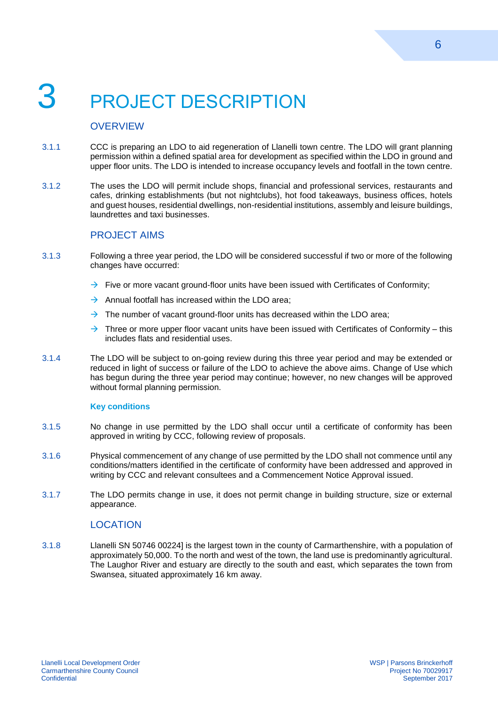## 3 PROJECT DESCRIPTION

#### <span id="page-10-0"></span>**OVERVIEW**

- 3.1.1 CCC is preparing an LDO to aid regeneration of Llanelli town centre. The LDO will grant planning permission within a defined spatial area for development as specified within the LDO in ground and upper floor units. The LDO is intended to increase occupancy levels and footfall in the town centre.
- 3.1.2 The uses the LDO will permit include shops, financial and professional services, restaurants and cafes, drinking establishments (but not nightclubs), hot food takeaways, business offices, hotels and guest houses, residential dwellings, non-residential institutions, assembly and leisure buildings, laundrettes and taxi businesses.

#### PROJECT AIMS

- 3.1.3 Following a three year period, the LDO will be considered successful if two or more of the following changes have occurred:
	- $\rightarrow$  Five or more vacant ground-floor units have been issued with Certificates of Conformity;
	- $\rightarrow$  Annual footfall has increased within the LDO area:
	- $\rightarrow$  The number of vacant ground-floor units has decreased within the LDO area;
	- $\rightarrow$  Three or more upper floor vacant units have been issued with Certificates of Conformity this includes flats and residential uses.
- 3.1.4 The LDO will be subject to on-going review during this three year period and may be extended or reduced in light of success or failure of the LDO to achieve the above aims. Change of Use which has begun during the three year period may continue; however, no new changes will be approved without formal planning permission.

#### **Key conditions**

- 3.1.5 No change in use permitted by the LDO shall occur until a certificate of conformity has been approved in writing by CCC, following review of proposals.
- 3.1.6 Physical commencement of any change of use permitted by the LDO shall not commence until any conditions/matters identified in the certificate of conformity have been addressed and approved in writing by CCC and relevant consultees and a Commencement Notice Approval issued.
- 3.1.7 The LDO permits change in use, it does not permit change in building structure, size or external appearance.

#### **LOCATION**

3.1.8 Llanelli SN 50746 00224] is the largest town in the county of Carmarthenshire, with a population of approximately 50,000. To the north and west of the town, the land use is predominantly agricultural. The Laughor River and estuary are directly to the south and east, which separates the town from Swansea, situated approximately 16 km away.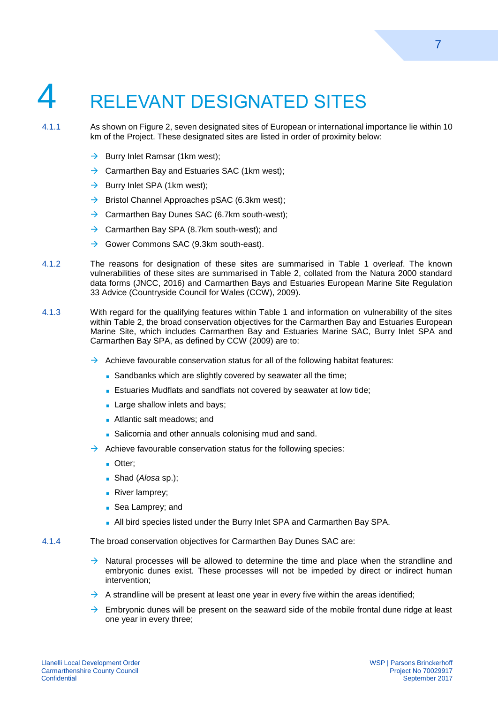# <span id="page-11-0"></span>**RELEVANT DESIGNATED SITES**

4.1.1 As shown on Figure 2, seven designated sites of European or international importance lie within 10 km of the Project. These designated sites are listed in order of proximity below:

- $\rightarrow$  Burry Inlet Ramsar (1km west);
- $\rightarrow$  Carmarthen Bay and Estuaries SAC (1km west);
- $\rightarrow$  Burry Inlet SPA (1km west);
- $\rightarrow$  Bristol Channel Approaches pSAC (6.3km west);
- $\rightarrow$  Carmarthen Bay Dunes SAC (6.7km south-west);
- $\rightarrow$  Carmarthen Bay SPA (8.7km south-west); and
- $\rightarrow$  Gower Commons SAC (9.3km south-east).
- 4.1.2 The reasons for designation of these sites are summarised in Table 1 overleaf. The known vulnerabilities of these sites are summarised in Table 2, collated from the Natura 2000 standard data forms (JNCC, 2016) and Carmarthen Bays and Estuaries European Marine Site Regulation 33 Advice (Countryside Council for Wales (CCW), 2009).
- 4.1.3 With regard for the qualifying features within Table 1 and information on vulnerability of the sites within Table 2, the broad conservation objectives for the Carmarthen Bay and Estuaries European Marine Site, which includes Carmarthen Bay and Estuaries Marine SAC, Burry Inlet SPA and Carmarthen Bay SPA, as defined by CCW (2009) are to:
	- $\rightarrow$  Achieve favourable conservation status for all of the following habitat features:
		- Sandbanks which are slightly covered by seawater all the time;
		- **Estuaries Mudflats and sandflats not covered by seawater at low tide;**
		- **Large shallow inlets and bays;**
		- **Atlantic salt meadows; and**
		- Salicornia and other annuals colonising mud and sand.
	- $\rightarrow$  Achieve favourable conservation status for the following species:
		- **Otter:**
		- Shad (*Alosa* sp.);
		- River lamprey;
		- Sea Lamprey; and
		- All bird species listed under the Burry Inlet SPA and Carmarthen Bay SPA.
- 4.1.4 The broad conservation objectives for Carmarthen Bay Dunes SAC are:
	- $\rightarrow$  Natural processes will be allowed to determine the time and place when the strandline and embryonic dunes exist. These processes will not be impeded by direct or indirect human intervention;
	- $\rightarrow$  A strandline will be present at least one year in every five within the areas identified;
	- $\rightarrow$  Embryonic dunes will be present on the seaward side of the mobile frontal dune ridge at least one year in every three;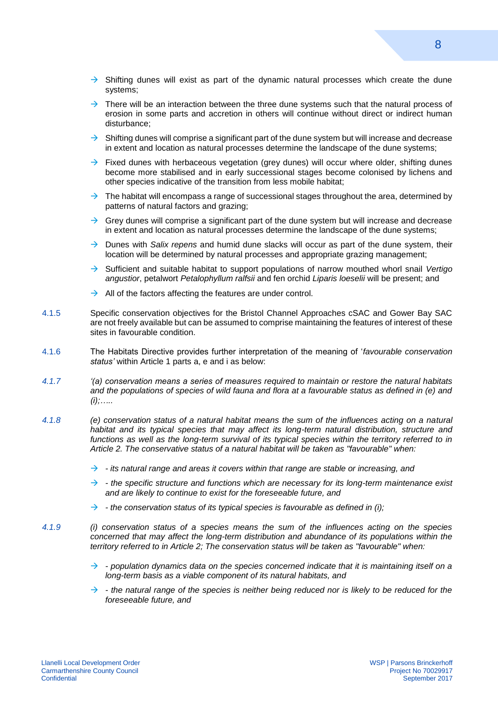- $\rightarrow$  Shifting dunes will exist as part of the dynamic natural processes which create the dune systems;
- $\rightarrow$  There will be an interaction between the three dune systems such that the natural process of erosion in some parts and accretion in others will continue without direct or indirect human disturbance;
- $\rightarrow$  Shifting dunes will comprise a significant part of the dune system but will increase and decrease in extent and location as natural processes determine the landscape of the dune systems;
- $\rightarrow$  Fixed dunes with herbaceous vegetation (grey dunes) will occur where older, shifting dunes become more stabilised and in early successional stages become colonised by lichens and other species indicative of the transition from less mobile habitat;
- $\rightarrow$  The habitat will encompass a range of successional stages throughout the area, determined by patterns of natural factors and grazing;
- $\rightarrow$  Grey dunes will comprise a significant part of the dune system but will increase and decrease in extent and location as natural processes determine the landscape of the dune systems;
- $\rightarrow$  Dunes with *Salix repens* and humid dune slacks will occur as part of the dune system, their location will be determined by natural processes and appropriate grazing management;
- → Sufficient and suitable habitat to support populations of narrow mouthed whorl snail Vertigo *angustior*, petalwort *Petalophyllum ralfsii* and fen orchid *Liparis loeselii* will be present; and
- $\rightarrow$  All of the factors affecting the features are under control.
- 4.1.5 Specific conservation objectives for the Bristol Channel Approaches cSAC and Gower Bay SAC are not freely available but can be assumed to comprise maintaining the features of interest of these sites in favourable condition.
- 4.1.6 The Habitats Directive provides further interpretation of the meaning of '*favourable conservation status'* within Article 1 parts a, e and i as below:
- *4.1.7 '(a) conservation means a series of measures required to maintain or restore the natural habitats and the populations of species of wild fauna and flora at a favourable status as defined in (e) and (i);…..*
- *4.1.8 (e) conservation status of a natural habitat means the sum of the influences acting on a natural*  habitat and its typical species that may affect its long-term natural distribution, structure and *functions as well as the long-term survival of its typical species within the territory referred to in Article 2. The conservative status of a natural habitat will be taken as "favourable" when:*
	- *- its natural range and areas it covers within that range are stable or increasing, and*
	- $\rightarrow$   $\rightarrow$  *the specific structure and functions which are necessary for its long-term maintenance exist and are likely to continue to exist for the foreseeable future, and*
	- $\rightarrow$   $\rightarrow$  *the conservation status of its typical species is favourable as defined in (i);*
- *4.1.9 (i) conservation status of a species means the sum of the influences acting on the species concerned that may affect the long-term distribution and abundance of its populations within the territory referred to in Article 2; The conservation status will be taken as "favourable" when:*
	- $\rightarrow$  population dynamics data on the species concerned indicate that it is maintaining itself on a *long-term basis as a viable component of its natural habitats, and*
	- $\rightarrow$   $\rightarrow$  *the natural range of the species is neither being reduced nor is likely to be reduced for the foreseeable future, and*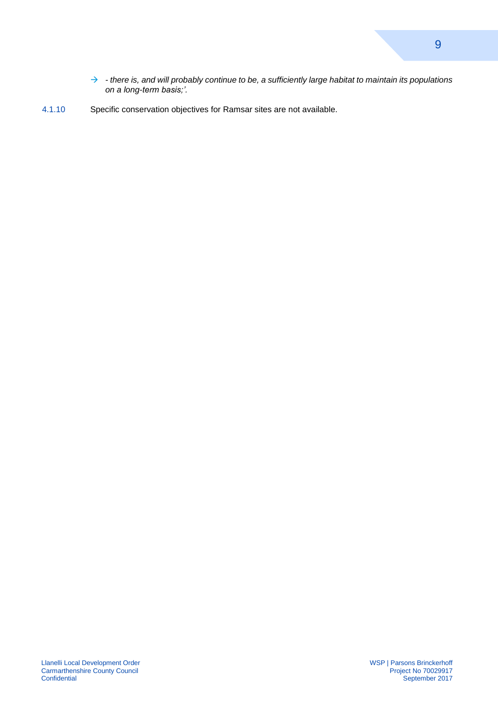- *- there is, and will probably continue to be, a sufficiently large habitat to maintain its populations on a long-term basis;'.*
- 4.1.10 Specific conservation objectives for Ramsar sites are not available.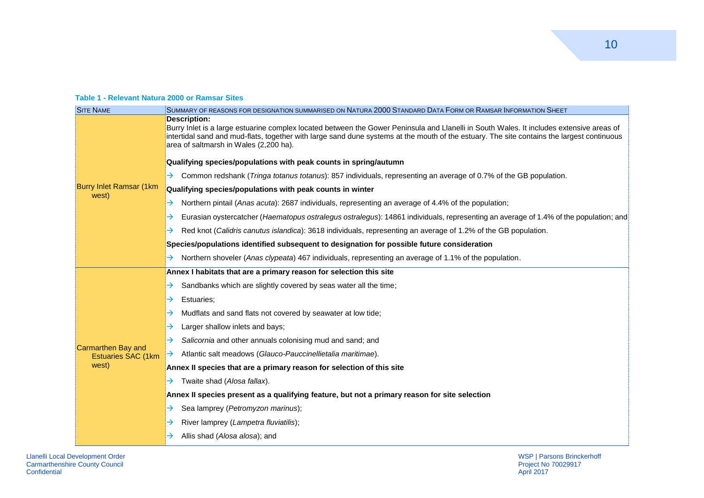#### **Table 1 - Relevant Natura 2000 or Ramsar Sites**

<span id="page-14-0"></span>

| <b>SITE NAME</b>                         | SUMMARY OF REASONS FOR DESIGNATION SUMMARISED ON NATURA 2000 STANDARD DATA FORM OR RAMSAR INFORMATION SHEET                                                                                                                                                                                                                                             |  |  |  |
|------------------------------------------|---------------------------------------------------------------------------------------------------------------------------------------------------------------------------------------------------------------------------------------------------------------------------------------------------------------------------------------------------------|--|--|--|
|                                          | <b>Description:</b><br>Burry Inlet is a large estuarine complex located between the Gower Peninsula and Llanelli in South Wales. It includes extensive areas of<br>intertidal sand and mud-flats, together with large sand dune systems at the mouth of the estuary. The site contains the largest continuous<br>area of saltmarsh in Wales (2,200 ha). |  |  |  |
|                                          | Qualifying species/populations with peak counts in spring/autumn                                                                                                                                                                                                                                                                                        |  |  |  |
|                                          | $\rightarrow$ Common redshank (Tringa totanus totanus): 857 individuals, representing an average of 0.7% of the GB population.                                                                                                                                                                                                                          |  |  |  |
| <b>Burry Inlet Ramsar (1km</b><br>west)  | Qualifying species/populations with peak counts in winter                                                                                                                                                                                                                                                                                               |  |  |  |
|                                          | Northern pintail (Anas acuta): 2687 individuals, representing an average of 4.4% of the population;<br>→                                                                                                                                                                                                                                                |  |  |  |
|                                          | Eurasian oystercatcher (Haematopus ostralegus ostralegus): 14861 individuals, representing an average of 1.4% of the population; and<br>→                                                                                                                                                                                                               |  |  |  |
|                                          | Red knot (Calidris canutus islandica): 3618 individuals, representing an average of 1.2% of the GB population.<br>→                                                                                                                                                                                                                                     |  |  |  |
|                                          | Species/populations identified subsequent to designation for possible future consideration                                                                                                                                                                                                                                                              |  |  |  |
|                                          | Northern shoveler (Anas clypeata) 467 individuals, representing an average of 1.1% of the population.<br>$\rightarrow$                                                                                                                                                                                                                                  |  |  |  |
|                                          | Annex I habitats that are a primary reason for selection this site                                                                                                                                                                                                                                                                                      |  |  |  |
|                                          | Sandbanks which are slightly covered by seas water all the time;<br>→                                                                                                                                                                                                                                                                                   |  |  |  |
|                                          | Estuaries:<br>→                                                                                                                                                                                                                                                                                                                                         |  |  |  |
|                                          | Mudflats and sand flats not covered by seawater at low tide;<br>→                                                                                                                                                                                                                                                                                       |  |  |  |
|                                          | Larger shallow inlets and bays;<br>→                                                                                                                                                                                                                                                                                                                    |  |  |  |
|                                          | Salicornia and other annuals colonising mud and sand; and<br>$\rightarrow$                                                                                                                                                                                                                                                                              |  |  |  |
| Carmarthen Bay and<br>Estuaries SAC (1km | Atlantic salt meadows (Glauco-Pauccinellietalia maritimae).<br>$\rightarrow$                                                                                                                                                                                                                                                                            |  |  |  |
| west)                                    | Annex II species that are a primary reason for selection of this site                                                                                                                                                                                                                                                                                   |  |  |  |
|                                          | $\rightarrow$ Twaite shad (Alosa fallax).                                                                                                                                                                                                                                                                                                               |  |  |  |
|                                          | Annex II species present as a qualifying feature, but not a primary reason for site selection                                                                                                                                                                                                                                                           |  |  |  |
|                                          | Sea lamprey (Petromyzon marinus);<br>$\rightarrow$                                                                                                                                                                                                                                                                                                      |  |  |  |
|                                          | River lamprey (Lampetra fluviatilis);<br>→                                                                                                                                                                                                                                                                                                              |  |  |  |
|                                          | $\rightarrow$ Allis shad (Alosa alosa); and                                                                                                                                                                                                                                                                                                             |  |  |  |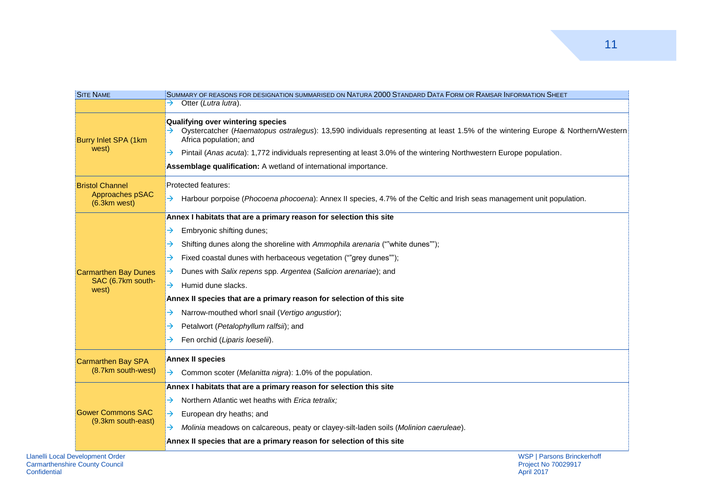| <b>SITE NAME</b>                               | SUMMARY OF REASONS FOR DESIGNATION SUMMARISED ON NATURA 2000 STANDARD DATA FORM OR RAMSAR INFORMATION SHEET                                                                                                                                                                                                                                                                                                                 |  |  |
|------------------------------------------------|-----------------------------------------------------------------------------------------------------------------------------------------------------------------------------------------------------------------------------------------------------------------------------------------------------------------------------------------------------------------------------------------------------------------------------|--|--|
|                                                | Otter (Lutra lutra).<br>$\rightarrow$                                                                                                                                                                                                                                                                                                                                                                                       |  |  |
| Burry Inlet SPA (1km<br>west)                  | Qualifying over wintering species<br>Oystercatcher (Haematopus ostralegus): 13,590 individuals representing at least 1.5% of the wintering Europe & Northern/Western<br>$\rightarrow$<br>Africa population; and<br>Pintail (Anas acuta): 1,772 individuals representing at least 3.0% of the wintering Northwestern Europe population.<br>$\rightarrow$<br>Assemblage qualification: A wetland of international importance. |  |  |
| <b>Bristol Channel</b>                         | Protected features:                                                                                                                                                                                                                                                                                                                                                                                                         |  |  |
| Approaches pSAC<br>(6.3km west)                | Harbour porpoise (Phocoena phocoena): Annex II species, 4.7% of the Celtic and Irish seas management unit population.<br>$\rightarrow$                                                                                                                                                                                                                                                                                      |  |  |
|                                                | Annex I habitats that are a primary reason for selection this site                                                                                                                                                                                                                                                                                                                                                          |  |  |
|                                                | Embryonic shifting dunes;<br>→                                                                                                                                                                                                                                                                                                                                                                                              |  |  |
|                                                | Shifting dunes along the shoreline with Ammophila arenaria (""white dunes"");<br>$\rightarrow$                                                                                                                                                                                                                                                                                                                              |  |  |
|                                                | Fixed coastal dunes with herbaceous vegetation (""grey dunes"");<br>$\rightarrow$                                                                                                                                                                                                                                                                                                                                           |  |  |
| <b>Carmarthen Bay Dunes</b>                    | Dunes with Salix repens spp. Argentea (Salicion arenariae); and<br>$\rightarrow$                                                                                                                                                                                                                                                                                                                                            |  |  |
| SAC (6.7km south-<br>west)                     | Humid dune slacks.<br>$\rightarrow$                                                                                                                                                                                                                                                                                                                                                                                         |  |  |
|                                                | Annex II species that are a primary reason for selection of this site                                                                                                                                                                                                                                                                                                                                                       |  |  |
|                                                | Narrow-mouthed whorl snail (Vertigo angustior);<br>→                                                                                                                                                                                                                                                                                                                                                                        |  |  |
|                                                | Petalwort (Petalophyllum ralfsii); and<br>→                                                                                                                                                                                                                                                                                                                                                                                 |  |  |
|                                                | Fen orchid (Liparis loeselii).<br>→                                                                                                                                                                                                                                                                                                                                                                                         |  |  |
| <b>Carmarthen Bay SPA</b>                      | <b>Annex II species</b>                                                                                                                                                                                                                                                                                                                                                                                                     |  |  |
| (8.7km south-west)                             | $\rightarrow$ Common scoter ( <i>Melanitta nigra</i> ): 1.0% of the population.                                                                                                                                                                                                                                                                                                                                             |  |  |
|                                                | Annex I habitats that are a primary reason for selection this site                                                                                                                                                                                                                                                                                                                                                          |  |  |
| <b>Gower Commons SAC</b><br>(9.3km south-east) | Northern Atlantic wet heaths with Erica tetralix;<br>$\rightarrow$                                                                                                                                                                                                                                                                                                                                                          |  |  |
|                                                | European dry heaths; and<br>$\rightarrow$                                                                                                                                                                                                                                                                                                                                                                                   |  |  |
|                                                | Molinia meadows on calcareous, peaty or clayey-silt-laden soils (Molinion caeruleae).<br>$\rightarrow$                                                                                                                                                                                                                                                                                                                      |  |  |
|                                                | Annex II species that are a primary reason for selection of this site                                                                                                                                                                                                                                                                                                                                                       |  |  |

11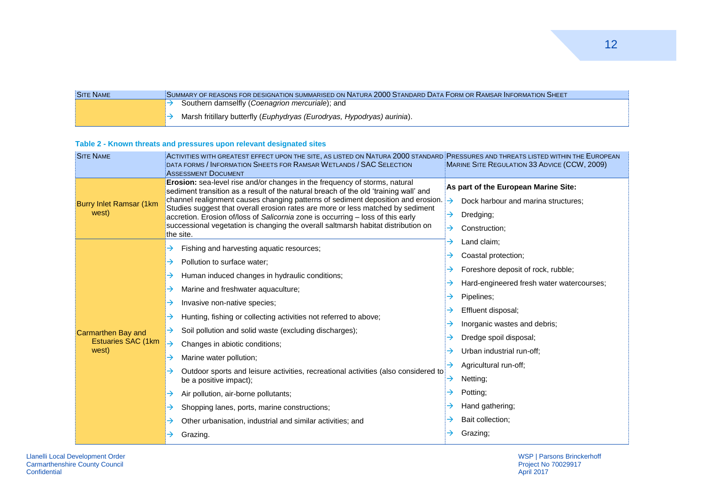| <b>SITE NAME</b> | SUMMARY OF REASONS FOR DESIGNATION SUMMARISED ON NATURA 2000 STANDARD DATA FORM OR RAMSAR INFORMATION SHEET |
|------------------|-------------------------------------------------------------------------------------------------------------|
|                  | Southern damselfly ( <i>Coenagrion mercuriale</i> ); and                                                    |
|                  | Marsh fritillary butterfly (Euphydryas (Eurodryas, Hypodryas) aurinia).                                     |

#### **Table 2 - Known threats and pressures upon relevant designated sites**

<span id="page-16-0"></span>

|                                                                                                                                                                                                        | ACTIVITIES WITH GREATEST EFFECT UPON THE SITE, AS LISTED ON NATURA 2000 STANDARD PRESSURES AND THREATS LISTED WITHIN THE EUROPEAN<br>DATA FORMS / INFORMATION SHEETS FOR RAMSAR WETLANDS / SAC SELECTION<br><b>ASSESSMENT DOCUMENT</b>                                                                                                                                                                                                                                                                                                                                                                                                                            |                                                     | MARINE SITE REGULATION 33 ADVICE (CCW, 2009)                                                                                                                                                                                                                                                                                                         |
|--------------------------------------------------------------------------------------------------------------------------------------------------------------------------------------------------------|-------------------------------------------------------------------------------------------------------------------------------------------------------------------------------------------------------------------------------------------------------------------------------------------------------------------------------------------------------------------------------------------------------------------------------------------------------------------------------------------------------------------------------------------------------------------------------------------------------------------------------------------------------------------|-----------------------------------------------------|------------------------------------------------------------------------------------------------------------------------------------------------------------------------------------------------------------------------------------------------------------------------------------------------------------------------------------------------------|
| <b>Burry Inlet Ramsar (1km</b><br>west)<br>the site.                                                                                                                                                   | Erosion: sea-level rise and/or changes in the frequency of storms, natural<br>sediment transition as a result of the natural breach of the old 'training wall' and<br>channel realignment causes changing patterns of sediment deposition and erosion.<br>$\rightarrow$<br>Studies suggest that overall erosion rates are more or less matched by sediment<br>$\rightarrow$<br>accretion. Erosion of/loss of Salicornia zone is occurring - loss of this early<br>successional vegetation is changing the overall saltmarsh habitat distribution on                                                                                                               |                                                     | As part of the European Marine Site:<br>Dock harbour and marina structures;<br>Dredging;<br>Construction;                                                                                                                                                                                                                                            |
| →<br>→<br>$\rightarrow$<br>→<br>→<br>→<br>$\rightarrow$<br>Carmarthen Bay and<br><b>Estuaries SAC (1km</b><br>$\rightarrow$<br>west)<br>→<br>→<br>$\rightarrow$<br>→<br>→<br>Grazing.<br>$\rightarrow$ | Fishing and harvesting aquatic resources;<br>Pollution to surface water;<br>Human induced changes in hydraulic conditions;<br>Marine and freshwater aquaculture;<br>Invasive non-native species;<br>Hunting, fishing or collecting activities not referred to above;<br>Soil pollution and solid waste (excluding discharges);<br>Changes in abiotic conditions;<br>Marine water pollution;<br>Outdoor sports and leisure activities, recreational activities (also considered to<br>be a positive impact);<br>Air pollution, air-borne pollutants;<br>Shopping lanes, ports, marine constructions;<br>Other urbanisation, industrial and similar activities; and | →<br>→<br>→<br>→<br>→<br>→<br>→<br>→<br>→<br>→<br>→ | Land claim;<br>Coastal protection;<br>Foreshore deposit of rock, rubble;<br>Hard-engineered fresh water watercourses;<br>Pipelines:<br>Effluent disposal;<br>Inorganic wastes and debris;<br>Dredge spoil disposal;<br>Urban industrial run-off;<br>Agricultural run-off;<br>Netting;<br>Potting;<br>Hand gathering;<br>Bait collection:<br>Grazing; |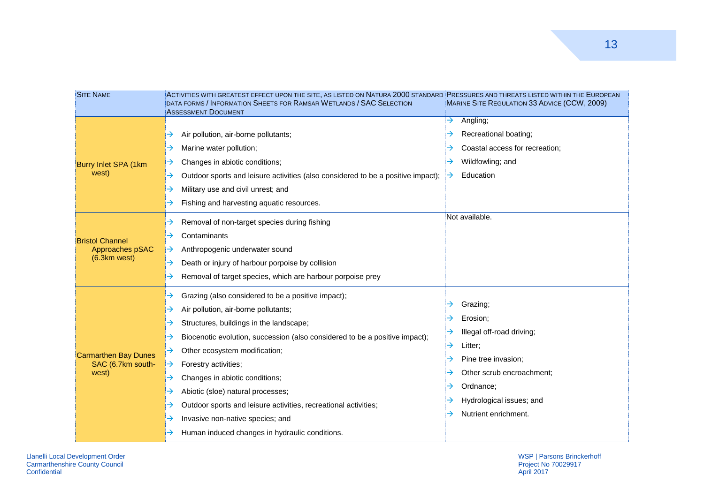| <b>SITE NAME</b>                          | ACTIVITIES WITH GREATEST EFFECT UPON THE SITE, AS LISTED ON NATURA 2000 STANDARD PRESSURES AND THREATS LISTED WITHIN THE EUROPEAN<br>DATA FORMS / INFORMATION SHEETS FOR RAMSAR WETLANDS / SAC SELECTION<br><b>ASSESSMENT DOCUMENT</b> | MARINE SITE REGULATION 33 ADVICE (CCW, 2009) |
|-------------------------------------------|----------------------------------------------------------------------------------------------------------------------------------------------------------------------------------------------------------------------------------------|----------------------------------------------|
|                                           |                                                                                                                                                                                                                                        | $\rightarrow$<br>Angling;                    |
|                                           | Air pollution, air-borne pollutants;<br>→                                                                                                                                                                                              | Recreational boating;<br>→                   |
|                                           | Marine water pollution;<br>→                                                                                                                                                                                                           | Coastal access for recreation;<br>→          |
| Burry Inlet SPA (1km                      | Changes in abiotic conditions;<br>→                                                                                                                                                                                                    | Wildfowling; and<br>→                        |
| west)                                     | Outdoor sports and leisure activities (also considered to be a positive impact);<br>→                                                                                                                                                  | Education<br>$\rightarrow$                   |
|                                           | Military use and civil unrest; and<br>→                                                                                                                                                                                                |                                              |
|                                           | Fishing and harvesting aquatic resources.<br>→                                                                                                                                                                                         |                                              |
|                                           | Removal of non-target species during fishing<br>→                                                                                                                                                                                      | Not available.                               |
|                                           | Contaminants<br>→                                                                                                                                                                                                                      |                                              |
| <b>Bristol Channel</b><br>Approaches pSAC | Anthropogenic underwater sound<br>→                                                                                                                                                                                                    |                                              |
| $(6.3km$ west)                            | Death or injury of harbour porpoise by collision<br>→                                                                                                                                                                                  |                                              |
|                                           | Removal of target species, which are harbour porpoise prey<br>→                                                                                                                                                                        |                                              |
|                                           | Grazing (also considered to be a positive impact);                                                                                                                                                                                     |                                              |
|                                           | →<br>Air pollution, air-borne pollutants;                                                                                                                                                                                              | Grazing;<br>$\rightarrow$                    |
|                                           | →                                                                                                                                                                                                                                      | Erosion:<br>→                                |
|                                           | Structures, buildings in the landscape;<br>→                                                                                                                                                                                           | Illegal off-road driving;<br>→               |
|                                           | Biocenotic evolution, succession (also considered to be a positive impact);<br>→                                                                                                                                                       | Litter;<br>→                                 |
| <b>Carmarthen Bay Dunes</b>               | Other ecosystem modification;<br>→                                                                                                                                                                                                     | Pine tree invasion;<br>→                     |
| SAC (6.7km south-<br>west)                | Forestry activities;<br>→                                                                                                                                                                                                              | Other scrub encroachment;<br>$\rightarrow$   |
|                                           | Changes in abiotic conditions;<br>→<br>Abiotic (sloe) natural processes;<br>→<br>Outdoor sports and leisure activities, recreational activities;<br>→                                                                                  | Ordnance:<br>→                               |
|                                           |                                                                                                                                                                                                                                        | Hydrological issues; and<br>→                |
|                                           |                                                                                                                                                                                                                                        | Nutrient enrichment.<br>→                    |
|                                           | Invasive non-native species; and<br>→                                                                                                                                                                                                  |                                              |
|                                           | Human induced changes in hydraulic conditions.<br>→                                                                                                                                                                                    |                                              |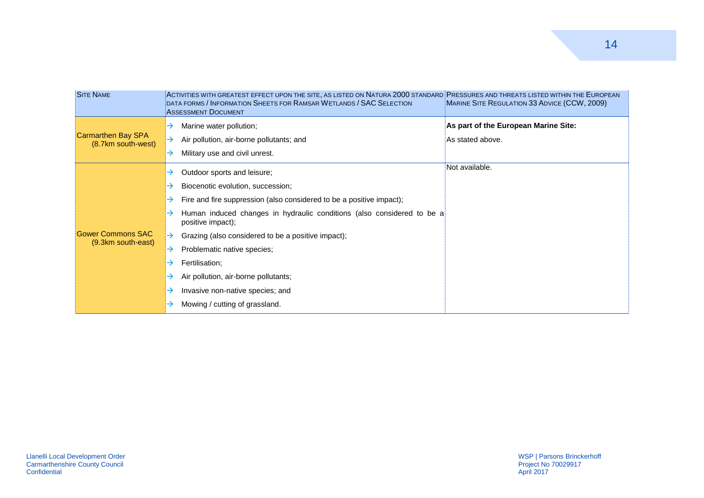| <b>SITE NAME</b>                               | ACTIVITIES WITH GREATEST EFFECT UPON THE SITE, AS LISTED ON NATURA 2000 STANDARD PRESSURES AND THREATS LISTED WITHIN THE EUROPEAN<br>DATA FORMS / INFORMATION SHEETS FOR RAMSAR WETLANDS / SAC SELECTION<br><b>ASSESSMENT DOCUMENT</b>                                                                                                                                                                                                                                                                           | MARINE SITE REGULATION 33 ADVICE (CCW, 2009)             |
|------------------------------------------------|------------------------------------------------------------------------------------------------------------------------------------------------------------------------------------------------------------------------------------------------------------------------------------------------------------------------------------------------------------------------------------------------------------------------------------------------------------------------------------------------------------------|----------------------------------------------------------|
| Carmarthen Bay SPA<br>(8.7km south-west)       | Marine water pollution;<br>→<br>Air pollution, air-borne pollutants; and<br>$\rightarrow$<br>Military use and civil unrest.<br>→                                                                                                                                                                                                                                                                                                                                                                                 | As part of the European Marine Site:<br>As stated above. |
| <b>Gower Commons SAC</b><br>(9.3km south-east) | Outdoor sports and leisure;<br>→<br>Biocenotic evolution, succession;<br>→<br>Fire and fire suppression (also considered to be a positive impact);<br>→<br>Human induced changes in hydraulic conditions (also considered to be a<br>positive impact);<br>Grazing (also considered to be a positive impact);<br>$\rightarrow$<br>Problematic native species;<br>→<br>Fertilisation;<br>→<br>Air pollution, air-borne pollutants;<br>→<br>Invasive non-native species; and<br>→<br>Mowing / cutting of grassland. | Not available.                                           |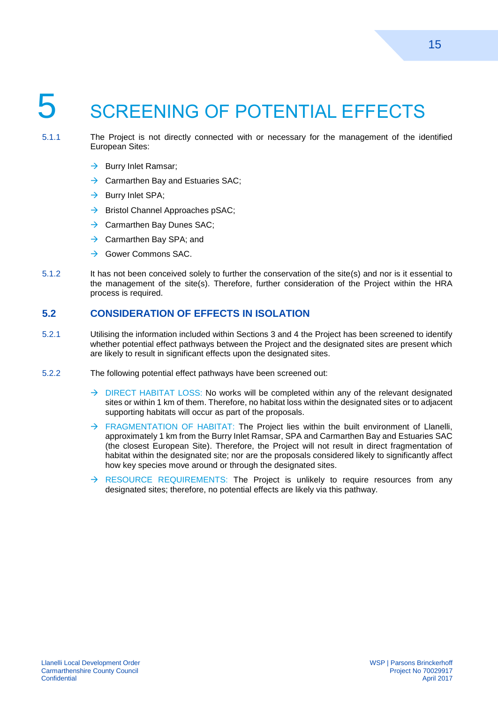### 15

### <span id="page-19-0"></span>SCREENING OF POTENTIAL EFFECTS

5.1.1 The Project is not directly connected with or necessary for the management of the identified European Sites:

- $\rightarrow$  Burry Inlet Ramsar;
- $\rightarrow$  Carmarthen Bay and Estuaries SAC;
- $\rightarrow$  Burry Inlet SPA;
- $\rightarrow$  Bristol Channel Approaches pSAC;
- $\rightarrow$  Carmarthen Bay Dunes SAC;
- $\rightarrow$  Carmarthen Bay SPA; and
- $\rightarrow$  Gower Commons SAC.
- 5.1.2 It has not been conceived solely to further the conservation of the site(s) and nor is it essential to the management of the site(s). Therefore, further consideration of the Project within the HRA process is required.

#### <span id="page-19-1"></span>**5.2 CONSIDERATION OF EFFECTS IN ISOLATION**

- 5.2.1 Utilising the information included within Sections 3 and 4 the Project has been screened to identify whether potential effect pathways between the Project and the designated sites are present which are likely to result in significant effects upon the designated sites.
- 5.2.2 The following potential effect pathways have been screened out:
	- $\rightarrow$  DIRECT HABITAT LOSS: No works will be completed within any of the relevant designated sites or within 1 km of them. Therefore, no habitat loss within the designated sites or to adjacent supporting habitats will occur as part of the proposals.
	- $\rightarrow$  FRAGMENTATION OF HABITAT: The Project lies within the built environment of Llanelli, approximately 1 km from the Burry Inlet Ramsar, SPA and Carmarthen Bay and Estuaries SAC (the closest European Site). Therefore, the Project will not result in direct fragmentation of habitat within the designated site; nor are the proposals considered likely to significantly affect how key species move around or through the designated sites.
	- $\rightarrow$  RESOURCE REQUIREMENTS: The Project is unlikely to require resources from any designated sites; therefore, no potential effects are likely via this pathway.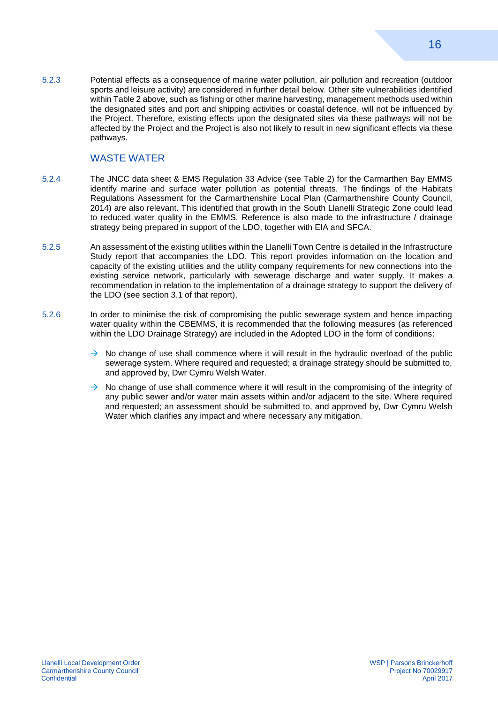5.2.3 Potential effects as a consequence of marine water pollution, air pollution and recreation (outdoor sports and leisure activity) are considered in further detail below. Other site vulnerabilities identified within Table 2 above, such as fishing or other marine harvesting, management methods used within the designated sites and port and shipping activities or coastal defence, will not be influenced by the Project. Therefore, existing effects upon the designated sites via these pathways will not be affected by the Project and the Project is also not likely to result in new significant effects via these pathways.

### WASTE WATER

- 5.2.4 The JNCC data sheet & EMS Regulation 33 Advice (see Table 2) for the Carmarthen Bay EMMS identify marine and surface water pollution as potential threats. The findings of the Habitats Regulations Assessment for the Carmarthenshire Local Plan (Carmarthenshire County Council, 2014) are also relevant. This identified that growth in the South Llanelli Strategic Zone could lead to reduced water quality in the EMMS. Reference is also made to the infrastructure / drainage strategy being prepared in support of the LDO, together with EIA and SFCA.
- 5.2.5 An assessment of the existing utilities within the Llanelli Town Centre is detailed in the Infrastructure Study report that accompanies the LDO. This report provides information on the location and capacity of the existing utilities and the utility company requirements for new connections into the existing service network, particularly with sewerage discharge and water supply. It makes a recommendation in relation to the implementation of a drainage strategy to support the delivery of the LDO (see section 3.1 of that report).
- 5.2.6 In order to minimise the risk of compromising the public sewerage system and hence impacting water quality within the CBEMMS, it is recommended that the following measures (as referenced within the LDO Drainage Strategy) are included in the Adopted LDO in the form of conditions:
	- $\rightarrow$  No change of use shall commence where it will result in the hydraulic overload of the public sewerage system. Where required and requested; a drainage strategy should be submitted to, and approved by, Dwr Cymru Welsh Water.
	- No change of use shall commence where it will result in the compromising of the integrity of any public sewer and/or water main assets within and/or adjacent to the site. Where required and requested; an assessment should be submitted to, and approved by, Dwr Cymru Welsh Water which clarifies any impact and where necessary any mitigation.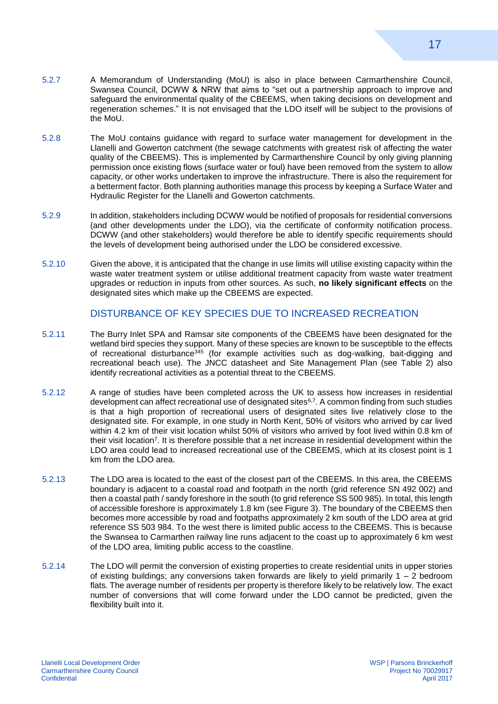- 5.2.7 A Memorandum of Understanding (MoU) is also in place between Carmarthenshire Council, Swansea Council, DCWW & NRW that aims to "set out a partnership approach to improve and safeguard the environmental quality of the CBEEMS, when taking decisions on development and regeneration schemes." It is not envisaged that the LDO itself will be subject to the provisions of the MoU.
- 5.2.8 The MoU contains guidance with regard to surface water management for development in the Llanelli and Gowerton catchment (the sewage catchments with greatest risk of affecting the water quality of the CBEEMS). This is implemented by Carmarthenshire Council by only giving planning permission once existing flows (surface water or foul) have been removed from the system to allow capacity, or other works undertaken to improve the infrastructure. There is also the requirement for a betterment factor. Both planning authorities manage this process by keeping a Surface Water and Hydraulic Register for the Llanelli and Gowerton catchments.
- 5.2.9 In addition, stakeholders including DCWW would be notified of proposals for residential conversions (and other developments under the LDO), via the certificate of conformity notification process. DCWW (and other stakeholders) would therefore be able to identify specific requirements should the levels of development being authorised under the LDO be considered excessive.
- 5.2.10 Given the above, it is anticipated that the change in use limits will utilise existing capacity within the waste water treatment system or utilise additional treatment capacity from waste water treatment upgrades or reduction in inputs from other sources. As such, **no likely significant effects** on the designated sites which make up the CBEEMS are expected.

#### DISTURBANCE OF KEY SPECIES DUE TO INCREASED RECREATION

- 5.2.11 The Burry Inlet SPA and Ramsar site components of the CBEEMS have been designated for the wetland bird species they support. Many of these species are known to be susceptible to the effects of recreational disturbance<sup>345</sup> (for example activities such as dog-walking, bait-digging and recreational beach use). The JNCC datasheet and Site Management Plan (see Table 2) also identify recreational activities as a potential threat to the CBEEMS.
- 5.2.12 A range of studies have been completed across the UK to assess how increases in residential development can affect recreational use of designated sites<sup>6,7</sup>. A common finding from such studies is that a high proportion of recreational users of designated sites live relatively close to the designated site. For example, in one study in North Kent, 50% of visitors who arrived by car lived within 4.2 km of their visit location whilst 50% of visitors who arrived by foot lived within 0.8 km of their visit location<sup>7</sup>. It is therefore possible that a net increase in residential development within the LDO area could lead to increased recreational use of the CBEEMS, which at its closest point is 1 km from the LDO area.
- 5.2.13 The LDO area is located to the east of the closest part of the CBEEMS. In this area, the CBEEMS boundary is adjacent to a coastal road and footpath in the north (grid reference SN 492 002) and then a coastal path / sandy foreshore in the south (to grid reference SS 500 985). In total, this length of accessible foreshore is approximately 1.8 km (see Figure 3). The boundary of the CBEEMS then becomes more accessible by road and footpaths approximately 2 km south of the LDO area at grid reference SS 503 984. To the west there is limited public access to the CBEEMS. This is because the Swansea to Carmarthen railway line runs adjacent to the coast up to approximately 6 km west of the LDO area, limiting public access to the coastline.
- 5.2.14 The LDO will permit the conversion of existing properties to create residential units in upper stories of existing buildings; any conversions taken forwards are likely to yield primarily  $1 - 2$  bedroom flats. The average number of residents per property is therefore likely to be relatively low. The exact number of conversions that will come forward under the LDO cannot be predicted, given the flexibility built into it.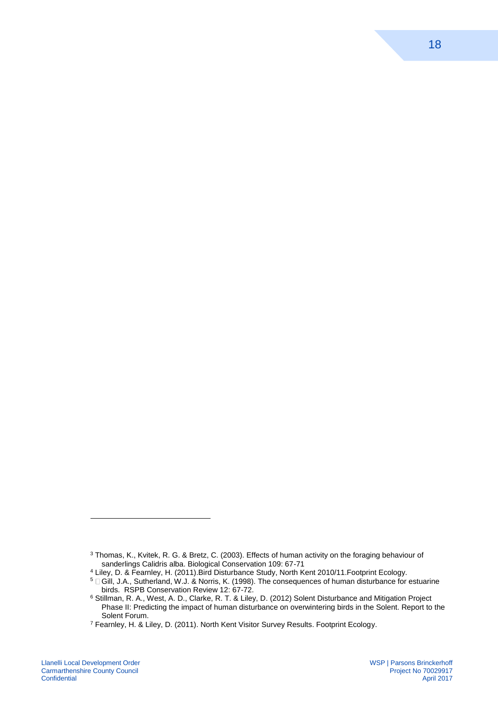1

<sup>3</sup> Thomas, K., Kvitek, R. G. & Bretz, C. (2003). Effects of human activity on the foraging behaviour of sanderlings Calidris alba. Biological Conservation 109: 67-71

<sup>4</sup> Liley, D. & Fearnley, H. (2011).Bird Disturbance Study, North Kent 2010/11.Footprint Ecology.

<sup>5</sup> Gill, J.A., Sutherland, W.J. & Norris, K. (1998). The consequences of human disturbance for estuarine birds. RSPB Conservation Review 12: 67-72.

<sup>6</sup> Stillman, R. A., West, A. D., Clarke, R. T. & Liley, D. (2012) Solent Disturbance and Mitigation Project Phase II: Predicting the impact of human disturbance on overwintering birds in the Solent. Report to the Solent Forum.

<sup>7</sup> Fearnley, H. & Liley, D. (2011). North Kent Visitor Survey Results. Footprint Ecology.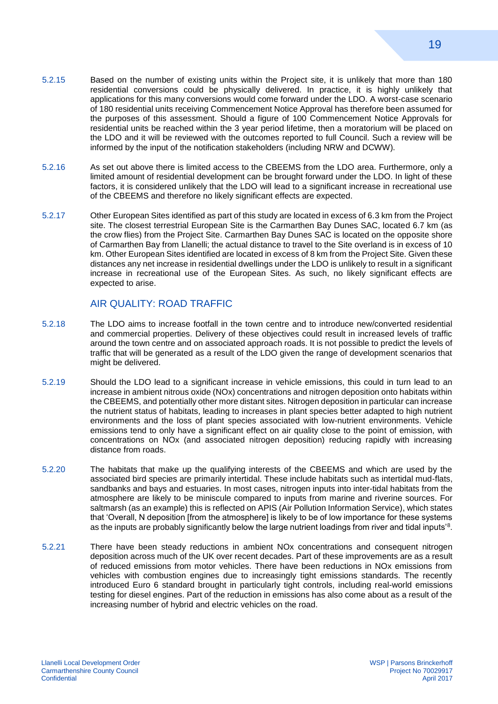- 5.2.15 Based on the number of existing units within the Project site, it is unlikely that more than 180 residential conversions could be physically delivered. In practice, it is highly unlikely that applications for this many conversions would come forward under the LDO. A worst-case scenario of 180 residential units receiving Commencement Notice Approval has therefore been assumed for the purposes of this assessment. Should a figure of 100 Commencement Notice Approvals for residential units be reached within the 3 year period lifetime, then a moratorium will be placed on the LDO and it will be reviewed with the outcomes reported to full Council. Such a review will be informed by the input of the notification stakeholders (including NRW and DCWW).
- 5.2.16 As set out above there is limited access to the CBEEMS from the LDO area. Furthermore, only a limited amount of residential development can be brought forward under the LDO. In light of these factors, it is considered unlikely that the LDO will lead to a significant increase in recreational use of the CBEEMS and therefore no likely significant effects are expected.
- <span id="page-23-0"></span>5.2.17 Other European Sites identified as part of this study are located in excess of 6.3 km from the Project site. The closest terrestrial European Site is the Carmarthen Bay Dunes SAC, located 6.7 km (as the crow flies) from the Project Site. Carmarthen Bay Dunes SAC is located on the opposite shore of Carmarthen Bay from Llanelli; the actual distance to travel to the Site overland is in excess of 10 km. Other European Sites identified are located in excess of 8 km from the Project Site. Given these distances any net increase in residential dwellings under the LDO is unlikely to result in a significant increase in recreational use of the European Sites. As such, no likely significant effects are expected to arise.

#### AIR QUALITY: ROAD TRAFFIC

- 5.2.18 The LDO aims to increase footfall in the town centre and to introduce new/converted residential and commercial properties. Delivery of these objectives could result in increased levels of traffic around the town centre and on associated approach roads. It is not possible to predict the levels of traffic that will be generated as a result of the LDO given the range of development scenarios that might be delivered.
- 5.2.19 Should the LDO lead to a significant increase in vehicle emissions, this could in turn lead to an increase in ambient nitrous oxide (NOx) concentrations and nitrogen deposition onto habitats within the CBEEMS, and potentially other more distant sites. Nitrogen deposition in particular can increase the nutrient status of habitats, leading to increases in plant species better adapted to high nutrient environments and the loss of plant species associated with low-nutrient environments. Vehicle emissions tend to only have a significant effect on air quality close to the point of emission, with concentrations on NOx (and associated nitrogen deposition) reducing rapidly with increasing distance from roads.
- 5.2.20 The habitats that make up the qualifying interests of the CBEEMS and which are used by the associated bird species are primarily intertidal. These include habitats such as intertidal mud-flats, sandbanks and bays and estuaries. In most cases, nitrogen inputs into inter-tidal habitats from the atmosphere are likely to be miniscule compared to inputs from marine and riverine sources. For saltmarsh (as an example) this is reflected on APIS (Air Pollution Information Service), which states that 'Overall, N deposition [from the atmosphere] is likely to be of low importance for these systems as the inputs are probably significantly below the large nutrient loadings from river and tidal inputs'<sup>8</sup>.
- 5.2.21 There have been steady reductions in ambient NOx concentrations and consequent nitrogen deposition across much of the UK over recent decades. Part of these improvements are as a result of reduced emissions from motor vehicles. There have been reductions in NOx emissions from vehicles with combustion engines due to increasingly tight emissions standards. The recently introduced Euro 6 standard brought in particularly tight controls, including real-world emissions testing for diesel engines. Part of the reduction in emissions has also come about as a result of the increasing number of hybrid and electric vehicles on the road.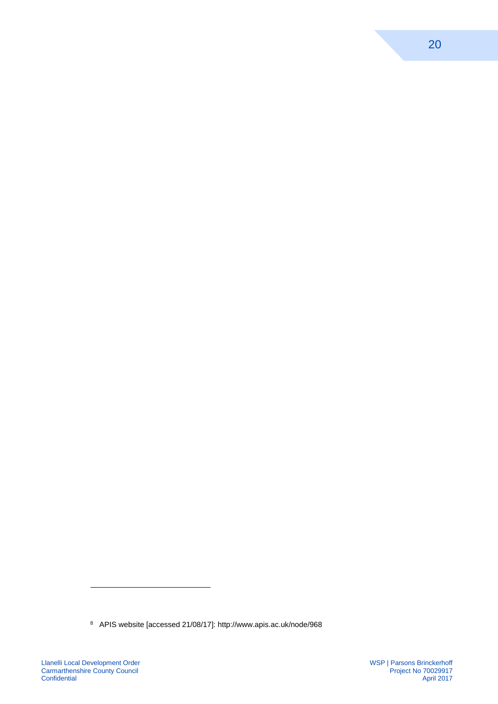-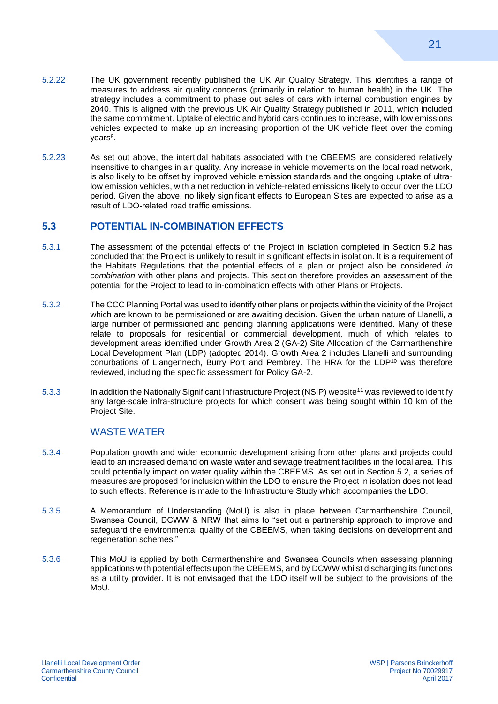- 5.2.22 The UK government recently published the UK Air Quality Strategy. This identifies a range of measures to address air quality concerns (primarily in relation to human health) in the UK. The strategy includes a commitment to phase out sales of cars with internal combustion engines by 2040. This is aligned with the previous UK Air Quality Strategy published in 2011, which included the same commitment. Uptake of electric and hybrid cars continues to increase, with low emissions vehicles expected to make up an increasing proportion of the UK vehicle fleet over the coming years<sup>9</sup>.
- 5.2.23 As set out above, the intertidal habitats associated with the CBEEMS are considered relatively insensitive to changes in air quality. Any increase in vehicle movements on the local road network, is also likely to be offset by improved vehicle emission standards and the ongoing uptake of ultralow emission vehicles, with a net reduction in vehicle-related emissions likely to occur over the LDO period. Given the above, no likely significant effects to European Sites are expected to arise as a result of LDO-related road traffic emissions.

#### <span id="page-25-0"></span>**5.3 POTENTIAL IN-COMBINATION EFFECTS**

- 5.3.1 The assessment of the potential effects of the Project in isolation completed in Section 5.2 has concluded that the Project is unlikely to result in significant effects in isolation. It is a requirement of the Habitats Regulations that the potential effects of a plan or project also be considered *in combination* with other plans and projects. This section therefore provides an assessment of the potential for the Project to lead to in-combination effects with other Plans or Projects.
- 5.3.2 The CCC Planning Portal was used to identify other plans or projects within the vicinity of the Project which are known to be permissioned or are awaiting decision. Given the urban nature of Llanelli, a large number of permissioned and pending planning applications were identified. Many of these relate to proposals for residential or commercial development, much of which relates to development areas identified under Growth Area 2 (GA-2) Site Allocation of the Carmarthenshire Local Development Plan (LDP) (adopted 2014). Growth Area 2 includes Llanelli and surrounding conurbations of Llangennech, Burry Port and Pembrey. The HRA for the LDP<sup>10</sup> was therefore reviewed, including the specific assessment for Policy GA-2.
- 5.3.3 In addition the Nationally Significant Infrastructure Project (NSIP) website<sup>11</sup> was reviewed to identify any large-scale infra-structure projects for which consent was being sought within 10 km of the Project Site.

#### WASTE WATER

- 5.3.4 Population growth and wider economic development arising from other plans and projects could lead to an increased demand on waste water and sewage treatment facilities in the local area. This could potentially impact on water quality within the CBEEMS. As set out in Section 5.2, a series of measures are proposed for inclusion within the LDO to ensure the Project in isolation does not lead to such effects. Reference is made to the Infrastructure Study which accompanies the LDO.
- 5.3.5 A Memorandum of Understanding (MoU) is also in place between Carmarthenshire Council, Swansea Council, DCWW & NRW that aims to "set out a partnership approach to improve and safeguard the environmental quality of the CBEEMS, when taking decisions on development and regeneration schemes."
- 5.3.6 This MoU is applied by both Carmarthenshire and Swansea Councils when assessing planning applications with potential effects upon the CBEEMS, and by DCWW whilst discharging its functions as a utility provider. It is not envisaged that the LDO itself will be subject to the provisions of the MoU.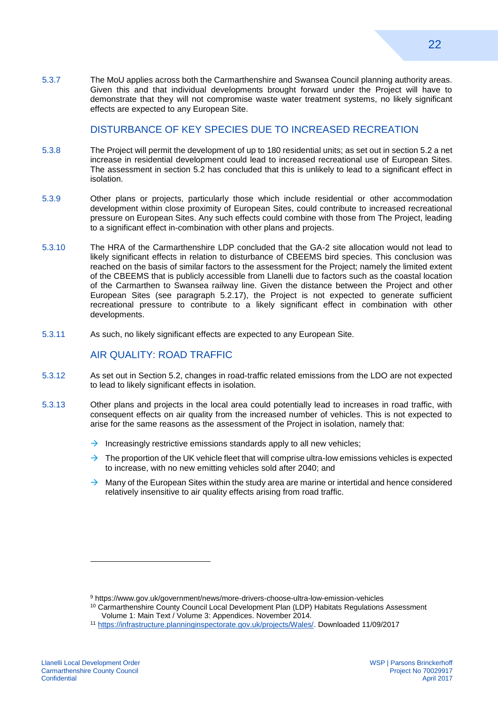5.3.7 The MoU applies across both the Carmarthenshire and Swansea Council planning authority areas. Given this and that individual developments brought forward under the Project will have to demonstrate that they will not compromise waste water treatment systems, no likely significant effects are expected to any European Site.

#### DISTURBANCE OF KEY SPECIES DUE TO INCREASED RECREATION

- 5.3.8 The Project will permit the development of up to 180 residential units; as set out in section 5.2 a net increase in residential development could lead to increased recreational use of European Sites. The assessment in section 5.2 has concluded that this is unlikely to lead to a significant effect in isolation.
- 5.3.9 Other plans or projects, particularly those which include residential or other accommodation development within close proximity of European Sites, could contribute to increased recreational pressure on European Sites. Any such effects could combine with those from The Project, leading to a significant effect in-combination with other plans and projects.
- 5.3.10 The HRA of the Carmarthenshire LDP concluded that the GA-2 site allocation would not lead to likely significant effects in relation to disturbance of CBEEMS bird species. This conclusion was reached on the basis of similar factors to the assessment for the Project; namely the limited extent of the CBEEMS that is publicly accessible from Llanelli due to factors such as the coastal location of the Carmarthen to Swansea railway line. Given the distance between the Project and other European Sites (see paragraph [5.2.17\)](#page-23-0), the Project is not expected to generate sufficient recreational pressure to contribute to a likely significant effect in combination with other developments.
- 5.3.11 As such, no likely significant effects are expected to any European Site.

#### AIR QUALITY: ROAD TRAFFIC

- 5.3.12 As set out in Section 5.2, changes in road-traffic related emissions from the LDO are not expected to lead to likely significant effects in isolation.
- 5.3.13 Other plans and projects in the local area could potentially lead to increases in road traffic, with consequent effects on air quality from the increased number of vehicles. This is not expected to arise for the same reasons as the assessment of the Project in isolation, namely that:
	- Increasingly restrictive emissions standards apply to all new vehicles;
	- $\rightarrow$  The proportion of the UK vehicle fleet that will comprise ultra-low emissions vehicles is expected to increase, with no new emitting vehicles sold after 2040; and
	- $\rightarrow$  Many of the European Sites within the study area are marine or intertidal and hence considered relatively insensitive to air quality effects arising from road traffic.

1

<sup>9</sup> https://www.gov.uk/government/news/more-drivers-choose-ultra-low-emission-vehicles

<sup>&</sup>lt;sup>10</sup> Carmarthenshire County Council Local Development Plan (LDP) Habitats Regulations Assessment Volume 1: Main Text / Volume 3: Appendices. November 2014.

<sup>11</sup> [https://infrastructure.planninginspectorate.gov.uk/projects/Wales/.](https://infrastructure.planninginspectorate.gov.uk/projects/Wales/) Downloaded 11/09/2017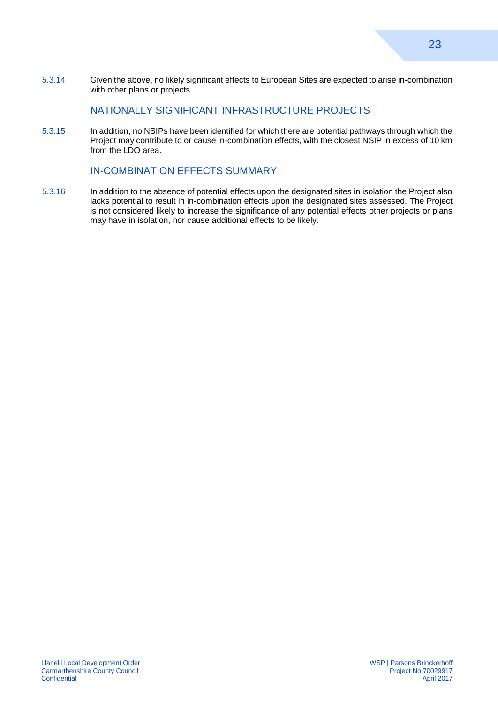5.3.14 Given the above, no likely significant effects to European Sites are expected to arise in-combination with other plans or projects.

#### NATIONALLY SIGNIFICANT INFRASTRUCTURE PROJECTS

5.3.15 In addition, no NSIPs have been identified for which there are potential pathways through which the Project may contribute to or cause in-combination effects, with the closest NSIP in excess of 10 km from the LDO area.

#### IN-COMBINATION EFFECTS SUMMARY

5.3.16 In addition to the absence of potential effects upon the designated sites in isolation the Project also lacks potential to result in in-combination effects upon the designated sites assessed. The Project is not considered likely to increase the significance of any potential effects other projects or plans may have in isolation, nor cause additional effects to be likely.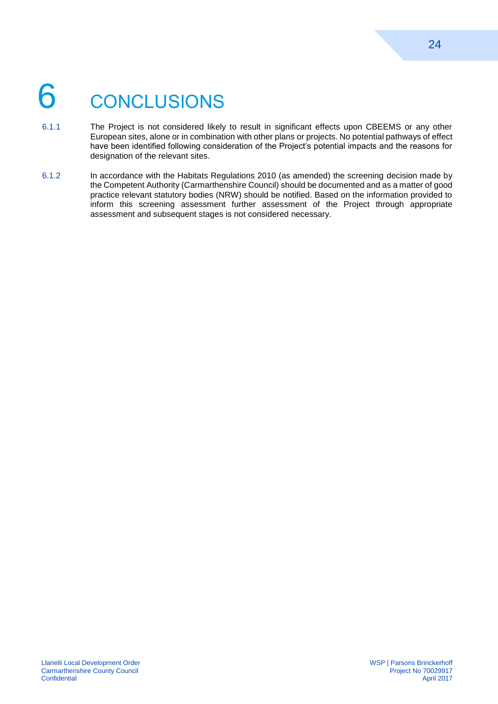## <span id="page-28-0"></span>**CONCLUSIONS**

- 6.1.1 The Project is not considered likely to result in significant effects upon CBEEMS or any other European sites, alone or in combination with other plans or projects. No potential pathways of effect have been identified following consideration of the Project's potential impacts and the reasons for designation of the relevant sites.
- 6.1.2 In accordance with the Habitats Regulations 2010 (as amended) the screening decision made by the Competent Authority (Carmarthenshire Council) should be documented and as a matter of good practice relevant statutory bodies (NRW) should be notified. Based on the information provided to inform this screening assessment further assessment of the Project through appropriate assessment and subsequent stages is not considered necessary.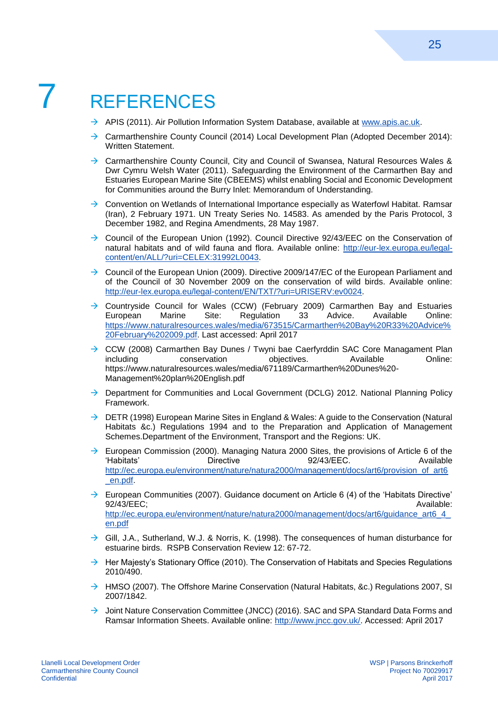## <span id="page-29-0"></span>**REFERENCES**

- $\rightarrow$  APIS (2011). Air Pollution Information System Database, available at [www.apis.ac.uk.](http://www.apis.ac.uk/)
- $\rightarrow$  Carmarthenshire County Council (2014) Local Development Plan (Adopted December 2014): Written Statement.
- $\rightarrow$  Carmarthenshire County Council, City and Council of Swansea, Natural Resources Wales & Dwr Cymru Welsh Water (2011). Safeguarding the Environment of the Carmarthen Bay and Estuaries European Marine Site (CBEEMS) whilst enabling Social and Economic Development for Communities around the Burry Inlet: Memorandum of Understanding.
- $\rightarrow$  Convention on Wetlands of International Importance especially as Waterfowl Habitat. Ramsar (Iran), 2 February 1971. UN Treaty Series No. 14583. As amended by the Paris Protocol, 3 December 1982, and Regina Amendments, 28 May 1987.
- $\rightarrow$  Council of the European Union (1992). Council Directive 92/43/EEC on the Conservation of natural habitats and of wild fauna and flora. Available online: [http://eur-lex.europa.eu/legal](http://eur-lex.europa.eu/legal-content/en/ALL/?uri=CELEX:31992L0043)[content/en/ALL/?uri=CELEX:31992L0043.](http://eur-lex.europa.eu/legal-content/en/ALL/?uri=CELEX:31992L0043)
- $\rightarrow$  Council of the European Union (2009). Directive 2009/147/EC of the European Parliament and of the Council of 30 November 2009 on the conservation of wild birds. Available online: [http://eur-lex.europa.eu/legal-content/EN/TXT/?uri=URISERV:ev0024.](http://eur-lex.europa.eu/legal-content/EN/TXT/?uri=URISERV:ev0024)
- $\rightarrow$  Countryside Council for Wales (CCW) (February 2009) Carmarthen Bay and Estuaries<br>European Marine Site: Regulation 33 Advice. Available Online: European Marine Site: Regulation 33 Advice. Available Online: [https://www.naturalresources.wales/media/673515/Carmarthen%20Bay%20R33%20Advice%](https://www.naturalresources.wales/media/673515/Carmarthen%20Bay%20R33%20Advice%20February%202009.pdf) [20February%202009.pdf.](https://www.naturalresources.wales/media/673515/Carmarthen%20Bay%20R33%20Advice%20February%202009.pdf) Last accessed: April 2017
- $\rightarrow$  CCW (2008) Carmarthen Bay Dunes / Twyni bae Caerfyrddin SAC Core Managament Plan including conservation objectives. Available Online: https://www.naturalresources.wales/media/671189/Carmarthen%20Dunes%20- Management%20plan%20English.pdf
- $\rightarrow$  Department for Communities and Local Government (DCLG) 2012. National Planning Policy Framework.
- $\rightarrow$  DETR (1998) European Marine Sites in England & Wales: A guide to the Conservation (Natural Habitats &c.) Regulations 1994 and to the Preparation and Application of Management Schemes.Department of the Environment, Transport and the Regions: UK.
- $\rightarrow$  European Commission (2000). Managing Natura 2000 Sites, the provisions of Article 6 of the 'Habitats' Directive 92/43/EEC. Available [http://ec.europa.eu/environment/nature/natura2000/management/docs/art6/provision\\_of\\_art6](http://ec.europa.eu/environment/nature/natura2000/management/docs/art6/provision_of_art6_en.pdf) [\\_en.pdf.](http://ec.europa.eu/environment/nature/natura2000/management/docs/art6/provision_of_art6_en.pdf)
- $\rightarrow$  European Communities (2007). Guidance document on Article 6 (4) of the 'Habitats Directive' 92/43/EEC; Available: Available: Available: Available: Available: Available: Available: Available: Available: Available: Available: Available: Available: Available: Available: Available: Available: Available: Available: Av [http://ec.europa.eu/environment/nature/natura2000/management/docs/art6/guidance\\_art6\\_4\\_](http://ec.europa.eu/environment/nature/natura2000/management/docs/art6/guidance_art6_4_en.pdf) [en.pdf](http://ec.europa.eu/environment/nature/natura2000/management/docs/art6/guidance_art6_4_en.pdf)
- $\rightarrow$  Gill, J.A., Sutherland, W.J. & Norris, K. (1998). The consequences of human disturbance for estuarine birds. RSPB Conservation Review 12: 67-72.
- $\rightarrow$  Her Majesty's Stationary Office (2010). The Conservation of Habitats and Species Regulations 2010/490.
- $\rightarrow$  HMSO (2007). The Offshore Marine Conservation (Natural Habitats, &c.) Regulations 2007, SI 2007/1842.
- $\rightarrow$  Joint Nature Conservation Committee (JNCC) (2016). SAC and SPA Standard Data Forms and Ramsar Information Sheets. Available online: [http://www.jncc.gov.uk/.](http://www.jncc.gov.uk/) Accessed: April 2017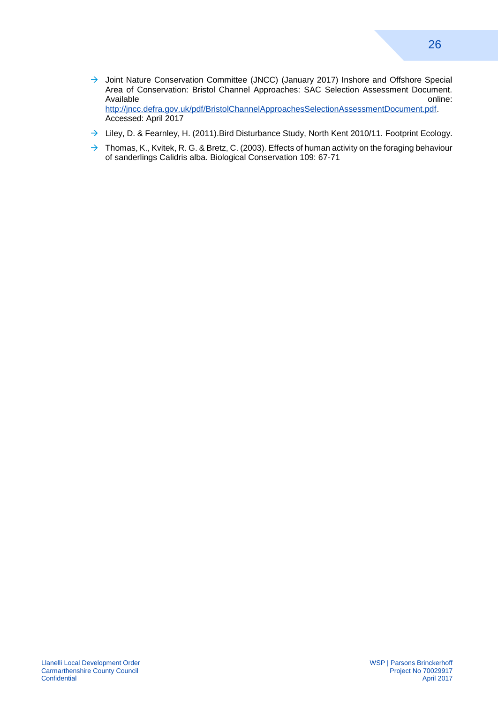- $\rightarrow$  Joint Nature Conservation Committee (JNCC) (January 2017) Inshore and Offshore Special Area of Conservation: Bristol Channel Approaches: SAC Selection Assessment Document. Available online: the contract of the contract of the contract of the contract of the contract of the contract online: [http://jncc.defra.gov.uk/pdf/BristolChannelApproachesSelectionAssessmentDocument.pdf.](http://jncc.defra.gov.uk/pdf/BristolChannelApproachesSelectionAssessmentDocument.pdf) Accessed: April 2017
- $\rightarrow$  Liley, D. & Fearnley, H. (2011). Bird Disturbance Study, North Kent 2010/11. Footprint Ecology.
- $\rightarrow$  Thomas, K., Kvitek, R. G. & Bretz, C. (2003). Effects of human activity on the foraging behaviour of sanderlings Calidris alba. Biological Conservation 109: 67-71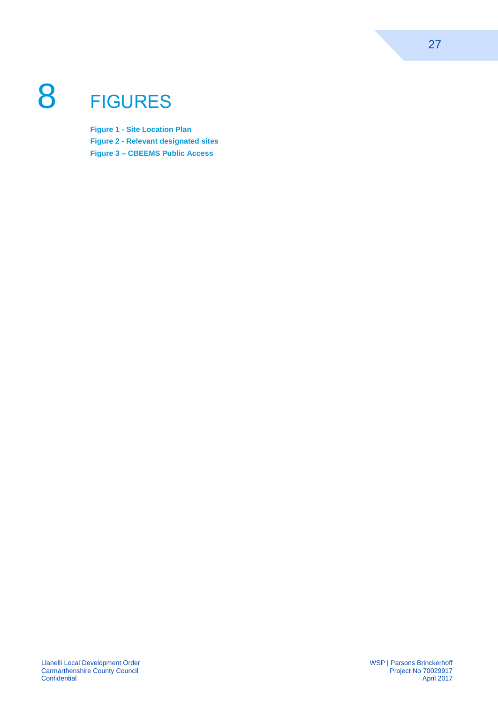

<span id="page-31-2"></span><span id="page-31-1"></span><span id="page-31-0"></span>**Figure 1 - Site Location Plan Figure 2 - Relevant designated sites Figure 3 – CBEEMS Public Access**